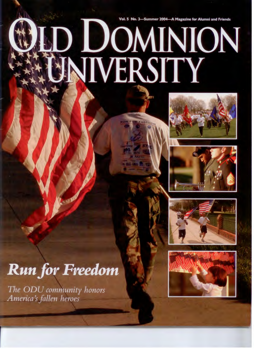## Vol. 5 No. 3-Summer 2004-A Magazine for Alumni and Friends D DOMINION









## **Run for Freedom**

The ODU community honors America's fallen heroes